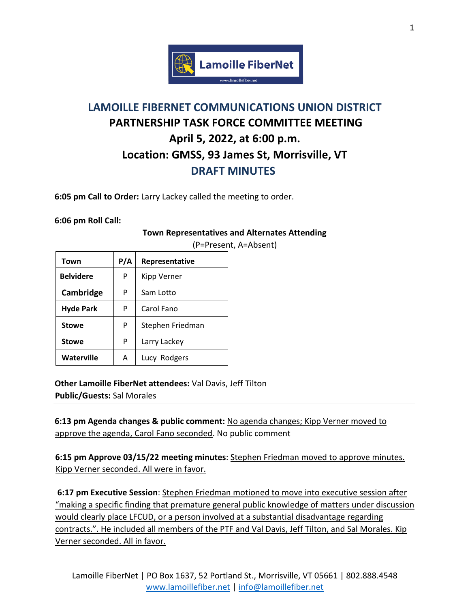

## **LAMOILLE FIBERNET COMMUNICATIONS UNION DISTRICT PARTNERSHIP TASK FORCE COMMITTEE MEETING April 5, 2022, at 6:00 p.m. Location: GMSS, 93 James St, Morrisville, VT DRAFT MINUTES**

**6:05 pm Call to Order:** Larry Lackey called the meeting to order.

**6:06 pm Roll Call:** 

## **Town Representatives and Alternates Attending**

| Town             | P/A | Representative   |
|------------------|-----|------------------|
| <b>Belvidere</b> | P   | Kipp Verner      |
| Cambridge        | P   | Sam Lotto        |
| <b>Hyde Park</b> | P   | Carol Fano       |
| <b>Stowe</b>     | P   | Stephen Friedman |
| <b>Stowe</b>     | P   | Larry Lackey     |
| Waterville       | Α   | Lucy Rodgers     |

(P=Present, A=Absent)

**Other Lamoille FiberNet attendees:** Val Davis, Jeff Tilton **Public/Guests:** Sal Morales

**6:13 pm Agenda changes & public comment:** No agenda changes; Kipp Verner moved to approve the agenda, Carol Fano seconded. No public comment

**6:15 pm Approve 03/15/22 meeting minutes**: Stephen Friedman moved to approve minutes. Kipp Verner seconded. All were in favor.

**6:17 pm Executive Session**: Stephen Friedman motioned to move into executive session after "making a specific finding that premature general public knowledge of matters under discussion would clearly place LFCUD, or a person involved at a substantial disadvantage regarding contracts.". He included all members of the PTF and Val Davis, Jeff Tilton, and Sal Morales. Kip Verner seconded. All in favor.